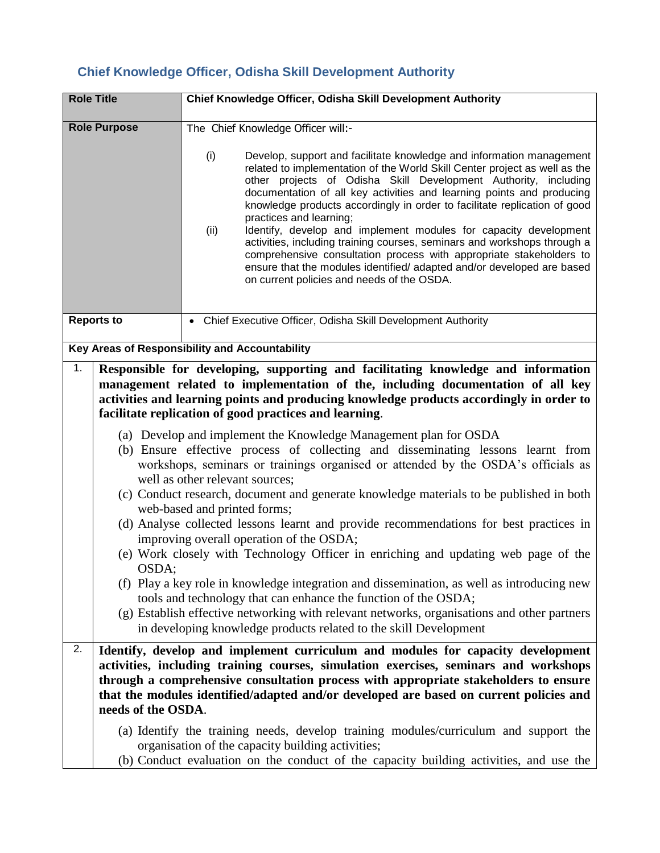## **Chief Knowledge Officer, Odisha Skill Development Authority**

| <b>Role Title</b>                              |                                                                                                                                                                                                                                                                                                                                                                                                                                                                                                                                                                                                                                                                                                                                                                                                                                                                                                                                                                                                                                                                                                                                                                                                                                                                                                                | Chief Knowledge Officer, Odisha Skill Development Authority                                                                                                                                                                                                                                                                                                                                                                                                                                                                                                                                                                                                                                                                                                          |  |  |
|------------------------------------------------|----------------------------------------------------------------------------------------------------------------------------------------------------------------------------------------------------------------------------------------------------------------------------------------------------------------------------------------------------------------------------------------------------------------------------------------------------------------------------------------------------------------------------------------------------------------------------------------------------------------------------------------------------------------------------------------------------------------------------------------------------------------------------------------------------------------------------------------------------------------------------------------------------------------------------------------------------------------------------------------------------------------------------------------------------------------------------------------------------------------------------------------------------------------------------------------------------------------------------------------------------------------------------------------------------------------|----------------------------------------------------------------------------------------------------------------------------------------------------------------------------------------------------------------------------------------------------------------------------------------------------------------------------------------------------------------------------------------------------------------------------------------------------------------------------------------------------------------------------------------------------------------------------------------------------------------------------------------------------------------------------------------------------------------------------------------------------------------------|--|--|
| <b>Role Purpose</b>                            |                                                                                                                                                                                                                                                                                                                                                                                                                                                                                                                                                                                                                                                                                                                                                                                                                                                                                                                                                                                                                                                                                                                                                                                                                                                                                                                | The Chief Knowledge Officer will:-                                                                                                                                                                                                                                                                                                                                                                                                                                                                                                                                                                                                                                                                                                                                   |  |  |
|                                                |                                                                                                                                                                                                                                                                                                                                                                                                                                                                                                                                                                                                                                                                                                                                                                                                                                                                                                                                                                                                                                                                                                                                                                                                                                                                                                                | (i)<br>Develop, support and facilitate knowledge and information management<br>related to implementation of the World Skill Center project as well as the<br>other projects of Odisha Skill Development Authority, including<br>documentation of all key activities and learning points and producing<br>knowledge products accordingly in order to facilitate replication of good<br>practices and learning;<br>Identify, develop and implement modules for capacity development<br>(ii)<br>activities, including training courses, seminars and workshops through a<br>comprehensive consultation process with appropriate stakeholders to<br>ensure that the modules identified/ adapted and/or developed are based<br>on current policies and needs of the OSDA. |  |  |
| <b>Reports to</b>                              |                                                                                                                                                                                                                                                                                                                                                                                                                                                                                                                                                                                                                                                                                                                                                                                                                                                                                                                                                                                                                                                                                                                                                                                                                                                                                                                | • Chief Executive Officer, Odisha Skill Development Authority                                                                                                                                                                                                                                                                                                                                                                                                                                                                                                                                                                                                                                                                                                        |  |  |
| Key Areas of Responsibility and Accountability |                                                                                                                                                                                                                                                                                                                                                                                                                                                                                                                                                                                                                                                                                                                                                                                                                                                                                                                                                                                                                                                                                                                                                                                                                                                                                                                |                                                                                                                                                                                                                                                                                                                                                                                                                                                                                                                                                                                                                                                                                                                                                                      |  |  |
| 1.                                             | Responsible for developing, supporting and facilitating knowledge and information<br>management related to implementation of the, including documentation of all key<br>activities and learning points and producing knowledge products accordingly in order to<br>facilitate replication of good practices and learning.<br>(a) Develop and implement the Knowledge Management plan for OSDA<br>(b) Ensure effective process of collecting and disseminating lessons learnt from<br>workshops, seminars or trainings organised or attended by the OSDA's officials as<br>well as other relevant sources;<br>(c) Conduct research, document and generate knowledge materials to be published in both<br>web-based and printed forms;<br>(d) Analyse collected lessons learnt and provide recommendations for best practices in<br>improving overall operation of the OSDA;<br>(e) Work closely with Technology Officer in enriching and updating web page of the<br>OSDA;<br>(f) Play a key role in knowledge integration and dissemination, as well as introducing new<br>tools and technology that can enhance the function of the OSDA;<br>(g) Establish effective networking with relevant networks, organisations and other partners<br>in developing knowledge products related to the skill Development |                                                                                                                                                                                                                                                                                                                                                                                                                                                                                                                                                                                                                                                                                                                                                                      |  |  |
| 2.                                             | needs of the OSDA.                                                                                                                                                                                                                                                                                                                                                                                                                                                                                                                                                                                                                                                                                                                                                                                                                                                                                                                                                                                                                                                                                                                                                                                                                                                                                             | Identify, develop and implement curriculum and modules for capacity development<br>activities, including training courses, simulation exercises, seminars and workshops<br>through a comprehensive consultation process with appropriate stakeholders to ensure<br>that the modules identified/adapted and/or developed are based on current policies and                                                                                                                                                                                                                                                                                                                                                                                                            |  |  |
|                                                |                                                                                                                                                                                                                                                                                                                                                                                                                                                                                                                                                                                                                                                                                                                                                                                                                                                                                                                                                                                                                                                                                                                                                                                                                                                                                                                | (a) Identify the training needs, develop training modules/curriculum and support the<br>organisation of the capacity building activities;<br>(b) Conduct evaluation on the conduct of the capacity building activities, and use the                                                                                                                                                                                                                                                                                                                                                                                                                                                                                                                                  |  |  |